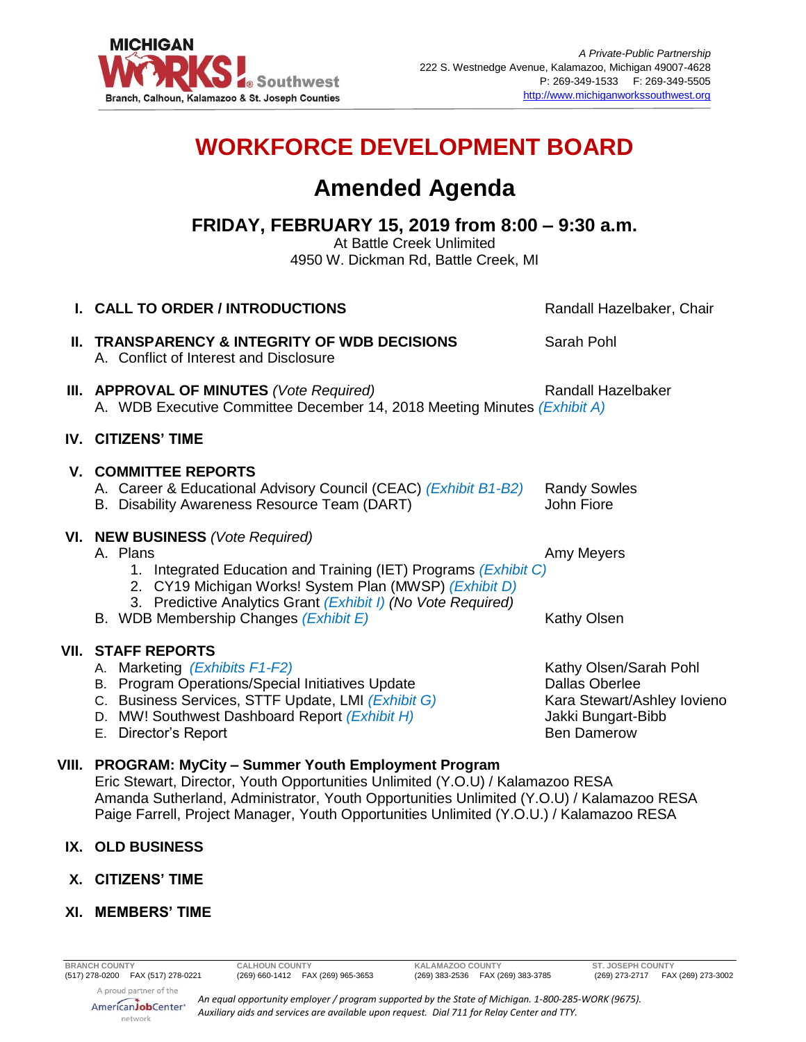

# **WORKFORCE DEVELOPMENT BOARD**

## **Amended Agenda**

## **FRIDAY, FEBRUARY 15, 2019 from 8:00 – 9:30 a.m.**

At Battle Creek Unlimited 4950 W. Dickman Rd, Battle Creek, MI

|      | <b>I. CALL TO ORDER / INTRODUCTIONS</b>                                                                                                                                                                                                   | Randall Hazelbaker, Chair                                                                                                  |
|------|-------------------------------------------------------------------------------------------------------------------------------------------------------------------------------------------------------------------------------------------|----------------------------------------------------------------------------------------------------------------------------|
|      | II. TRANSPARENCY & INTEGRITY OF WDB DECISIONS<br>A. Conflict of Interest and Disclosure                                                                                                                                                   | Sarah Pohl                                                                                                                 |
|      | III. APPROVAL OF MINUTES (Vote Required)<br>A. WDB Executive Committee December 14, 2018 Meeting Minutes (Exhibit A)                                                                                                                      | Randall Hazelbaker                                                                                                         |
|      | <b>IV. CITIZENS' TIME</b>                                                                                                                                                                                                                 |                                                                                                                            |
|      | <b>V. COMMITTEE REPORTS</b><br>A. Career & Educational Advisory Council (CEAC) (Exhibit B1-B2)<br>B. Disability Awareness Resource Team (DART)                                                                                            | <b>Randy Sowles</b><br>John Fiore                                                                                          |
|      | VI. NEW BUSINESS (Vote Required)<br>A. Plans<br>1. Integrated Education and Training (IET) Programs (Exhibit C)<br>2. CY19 Michigan Works! System Plan (MWSP) (Exhibit D)<br>3. Predictive Analytics Grant (Exhibit I) (No Vote Required) | Amy Meyers                                                                                                                 |
|      | B. WDB Membership Changes (Exhibit E)                                                                                                                                                                                                     | Kathy Olsen                                                                                                                |
| VII. | <b>STAFF REPORTS</b><br>A. Marketing (Exhibits F1-F2)<br>B. Program Operations/Special Initiatives Update<br>C. Business Services, STTF Update, LMI (Exhibit G)<br>D. MW! Southwest Dashboard Report (Exhibit H)<br>E. Director's Report  | Kathy Olsen/Sarah Pohl<br><b>Dallas Oberlee</b><br>Kara Stewart/Ashley Iovieno<br>Jakki Bungart-Bibb<br><b>Ben Damerow</b> |

#### **VIII. PROGRAM: MyCity – Summer Youth Employment Program**

Eric Stewart, Director, Youth Opportunities Unlimited (Y.O.U) / Kalamazoo RESA Amanda Sutherland, Administrator, Youth Opportunities Unlimited (Y.O.U) / Kalamazoo RESA Paige Farrell, Project Manager, Youth Opportunities Unlimited (Y.O.U.) / Kalamazoo RESA

### **IX. OLD BUSINESS**

- **X. CITIZENS' TIME**
- **XI. MEMBERS' TIME**

(269) 273-2717 FAX (269) 273-3002

A proud partner of the AmericanJobCenter<sup>®</sup> network

*An equal opportunity employer / program supported by the State of Michigan. 1-800-285-WORK (9675). Auxiliary aids and services are available upon request. Dial 711 for Relay Center and TTY.*